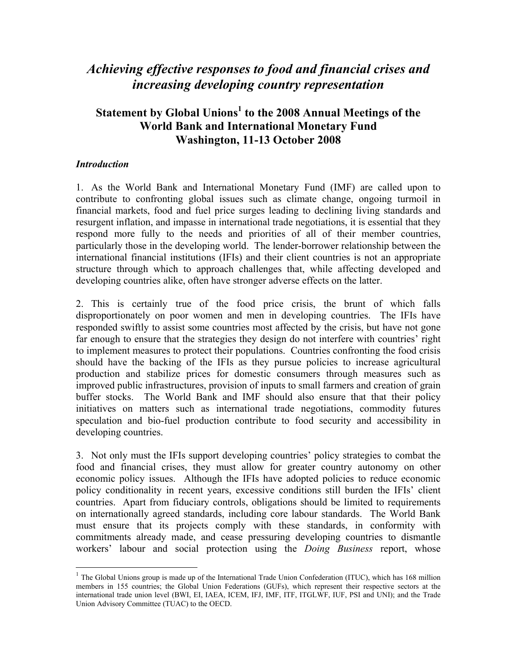# *Achieving effective responses to food and financial crises and increasing developing country representation*

# Statement by Global Unions<sup>1</sup> to the 2008 Annual Meetings of the **World Bank and International Monetary Fund Washington, 11-13 October 2008**

#### *Introduction*

 $\overline{a}$ 

1. As the World Bank and International Monetary Fund (IMF) are called upon to contribute to confronting global issues such as climate change, ongoing turmoil in financial markets, food and fuel price surges leading to declining living standards and resurgent inflation, and impasse in international trade negotiations, it is essential that they respond more fully to the needs and priorities of all of their member countries, particularly those in the developing world. The lender-borrower relationship between the international financial institutions (IFIs) and their client countries is not an appropriate structure through which to approach challenges that, while affecting developed and developing countries alike, often have stronger adverse effects on the latter.

2. This is certainly true of the food price crisis, the brunt of which falls disproportionately on poor women and men in developing countries. The IFIs have responded swiftly to assist some countries most affected by the crisis, but have not gone far enough to ensure that the strategies they design do not interfere with countries' right to implement measures to protect their populations. Countries confronting the food crisis should have the backing of the IFIs as they pursue policies to increase agricultural production and stabilize prices for domestic consumers through measures such as improved public infrastructures, provision of inputs to small farmers and creation of grain buffer stocks. The World Bank and IMF should also ensure that that their policy initiatives on matters such as international trade negotiations, commodity futures speculation and bio-fuel production contribute to food security and accessibility in developing countries.

3. Not only must the IFIs support developing countries' policy strategies to combat the food and financial crises, they must allow for greater country autonomy on other economic policy issues. Although the IFIs have adopted policies to reduce economic policy conditionality in recent years, excessive conditions still burden the IFIs' client countries. Apart from fiduciary controls, obligations should be limited to requirements on internationally agreed standards, including core labour standards. The World Bank must ensure that its projects comply with these standards, in conformity with commitments already made, and cease pressuring developing countries to dismantle workers' labour and social protection using the *Doing Business* report, whose

 $1$  The Global Unions group is made up of the International Trade Union Confederation (ITUC), which has 168 million members in 155 countries; the Global Union Federations (GUFs), which represent their respective sectors at the international trade union level (BWI, EI, IAEA, ICEM, IFJ, IMF, ITF, ITGLWF, IUF, PSI and UNI); and the Trade Union Advisory Committee (TUAC) to the OECD.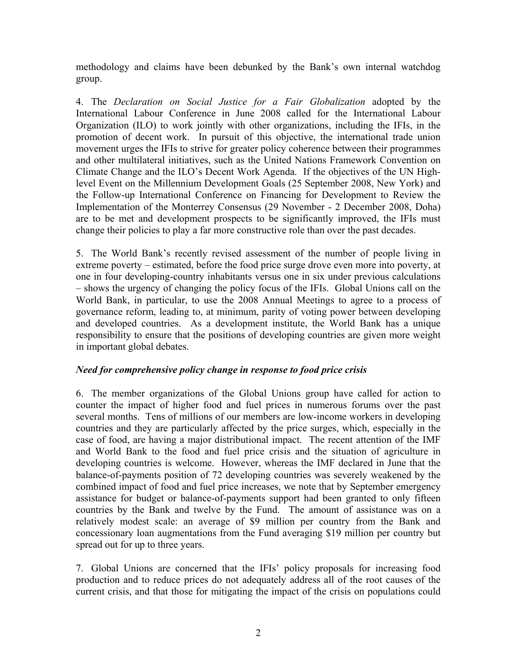methodology and claims have been debunked by the Bank's own internal watchdog group.

4. The *Declaration on Social Justice for a Fair Globalization* adopted by the International Labour Conference in June 2008 called for the International Labour Organization (ILO) to work jointly with other organizations, including the IFIs, in the promotion of decent work. In pursuit of this objective, the international trade union movement urges the IFIs to strive for greater policy coherence between their programmes and other multilateral initiatives, such as the United Nations Framework Convention on Climate Change and the ILO's Decent Work Agenda. If the objectives of the UN Highlevel Event on the Millennium Development Goals (25 September 2008, New York) and the Follow-up International Conference on Financing for Development to Review the Implementation of the Monterrey Consensus (29 November - 2 December 2008, Doha) are to be met and development prospects to be significantly improved, the IFIs must change their policies to play a far more constructive role than over the past decades.

5. The World Bank's recently revised assessment of the number of people living in extreme poverty – estimated, before the food price surge drove even more into poverty, at one in four developing-country inhabitants versus one in six under previous calculations – shows the urgency of changing the policy focus of the IFIs. Global Unions call on the World Bank, in particular, to use the 2008 Annual Meetings to agree to a process of governance reform, leading to, at minimum, parity of voting power between developing and developed countries. As a development institute, the World Bank has a unique responsibility to ensure that the positions of developing countries are given more weight in important global debates.

# *Need for comprehensive policy change in response to food price crisis*

6. The member organizations of the Global Unions group have called for action to counter the impact of higher food and fuel prices in numerous forums over the past several months. Tens of millions of our members are low-income workers in developing countries and they are particularly affected by the price surges, which, especially in the case of food, are having a major distributional impact. The recent attention of the IMF and World Bank to the food and fuel price crisis and the situation of agriculture in developing countries is welcome. However, whereas the IMF declared in June that the balance-of-payments position of 72 developing countries was severely weakened by the combined impact of food and fuel price increases, we note that by September emergency assistance for budget or balance-of-payments support had been granted to only fifteen countries by the Bank and twelve by the Fund. The amount of assistance was on a relatively modest scale: an average of \$9 million per country from the Bank and concessionary loan augmentations from the Fund averaging \$19 million per country but spread out for up to three years.

7. Global Unions are concerned that the IFIs' policy proposals for increasing food production and to reduce prices do not adequately address all of the root causes of the current crisis, and that those for mitigating the impact of the crisis on populations could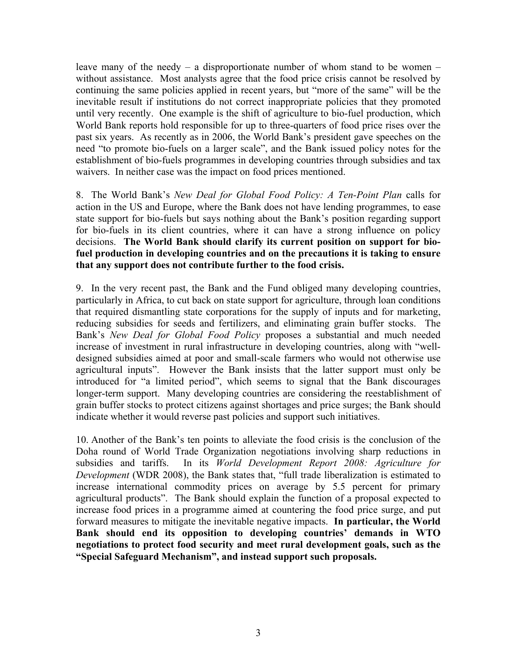leave many of the needy  $-$  a disproportionate number of whom stand to be women  $$ without assistance. Most analysts agree that the food price crisis cannot be resolved by continuing the same policies applied in recent years, but "more of the same" will be the inevitable result if institutions do not correct inappropriate policies that they promoted until very recently. One example is the shift of agriculture to bio-fuel production, which World Bank reports hold responsible for up to three-quarters of food price rises over the past six years. As recently as in 2006, the World Bank's president gave speeches on the need "to promote bio-fuels on a larger scale", and the Bank issued policy notes for the establishment of bio-fuels programmes in developing countries through subsidies and tax waivers. In neither case was the impact on food prices mentioned.

8. The World Bank's *New Deal for Global Food Policy: A Ten-Point Plan* calls for action in the US and Europe, where the Bank does not have lending programmes, to ease state support for bio-fuels but says nothing about the Bank's position regarding support for bio-fuels in its client countries, where it can have a strong influence on policy decisions. **The World Bank should clarify its current position on support for biofuel production in developing countries and on the precautions it is taking to ensure that any support does not contribute further to the food crisis.**

9. In the very recent past, the Bank and the Fund obliged many developing countries, particularly in Africa, to cut back on state support for agriculture, through loan conditions that required dismantling state corporations for the supply of inputs and for marketing, reducing subsidies for seeds and fertilizers, and eliminating grain buffer stocks. The Bank's *New Deal for Global Food Policy* proposes a substantial and much needed increase of investment in rural infrastructure in developing countries, along with "welldesigned subsidies aimed at poor and small-scale farmers who would not otherwise use agricultural inputs". However the Bank insists that the latter support must only be introduced for "a limited period", which seems to signal that the Bank discourages longer-term support. Many developing countries are considering the reestablishment of grain buffer stocks to protect citizens against shortages and price surges; the Bank should indicate whether it would reverse past policies and support such initiatives.

10. Another of the Bank's ten points to alleviate the food crisis is the conclusion of the Doha round of World Trade Organization negotiations involving sharp reductions in subsidies and tariffs. In its *World Development Report 2008: Agriculture for Development* (WDR 2008), the Bank states that, "full trade liberalization is estimated to increase international commodity prices on average by 5.5 percent for primary agricultural products". The Bank should explain the function of a proposal expected to increase food prices in a programme aimed at countering the food price surge, and put forward measures to mitigate the inevitable negative impacts. **In particular, the World Bank should end its opposition to developing countries' demands in WTO negotiations to protect food security and meet rural development goals, such as the "Special Safeguard Mechanism", and instead support such proposals.**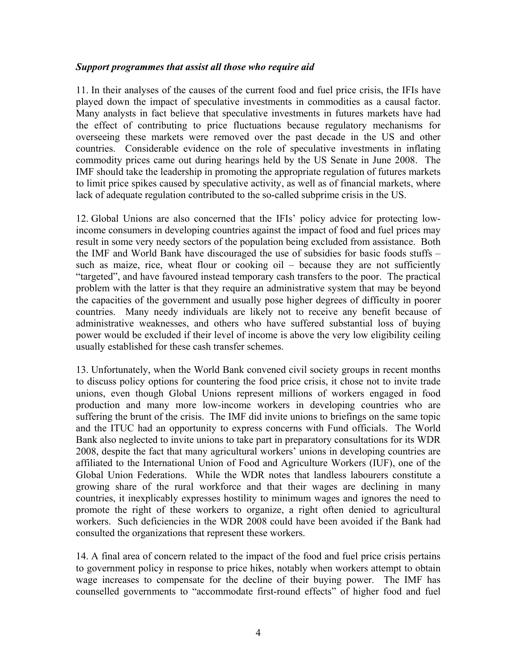#### *Support programmes that assist all those who require aid*

11. In their analyses of the causes of the current food and fuel price crisis, the IFIs have played down the impact of speculative investments in commodities as a causal factor. Many analysts in fact believe that speculative investments in futures markets have had the effect of contributing to price fluctuations because regulatory mechanisms for overseeing these markets were removed over the past decade in the US and other countries. Considerable evidence on the role of speculative investments in inflating commodity prices came out during hearings held by the US Senate in June 2008. The IMF should take the leadership in promoting the appropriate regulation of futures markets to limit price spikes caused by speculative activity, as well as of financial markets, where lack of adequate regulation contributed to the so-called subprime crisis in the US.

12. Global Unions are also concerned that the IFIs' policy advice for protecting lowincome consumers in developing countries against the impact of food and fuel prices may result in some very needy sectors of the population being excluded from assistance. Both the IMF and World Bank have discouraged the use of subsidies for basic foods stuffs – such as maize, rice, wheat flour or cooking oil  $-$  because they are not sufficiently "targeted", and have favoured instead temporary cash transfers to the poor. The practical problem with the latter is that they require an administrative system that may be beyond the capacities of the government and usually pose higher degrees of difficulty in poorer countries. Many needy individuals are likely not to receive any benefit because of administrative weaknesses, and others who have suffered substantial loss of buying power would be excluded if their level of income is above the very low eligibility ceiling usually established for these cash transfer schemes.

13. Unfortunately, when the World Bank convened civil society groups in recent months to discuss policy options for countering the food price crisis, it chose not to invite trade unions, even though Global Unions represent millions of workers engaged in food production and many more low-income workers in developing countries who are suffering the brunt of the crisis. The IMF did invite unions to briefings on the same topic and the ITUC had an opportunity to express concerns with Fund officials. The World Bank also neglected to invite unions to take part in preparatory consultations for its WDR 2008, despite the fact that many agricultural workers' unions in developing countries are affiliated to the International Union of Food and Agriculture Workers (IUF), one of the Global Union Federations. While the WDR notes that landless labourers constitute a growing share of the rural workforce and that their wages are declining in many countries, it inexplicably expresses hostility to minimum wages and ignores the need to promote the right of these workers to organize, a right often denied to agricultural workers. Such deficiencies in the WDR 2008 could have been avoided if the Bank had consulted the organizations that represent these workers.

14. A final area of concern related to the impact of the food and fuel price crisis pertains to government policy in response to price hikes, notably when workers attempt to obtain wage increases to compensate for the decline of their buying power. The IMF has counselled governments to "accommodate first-round effects" of higher food and fuel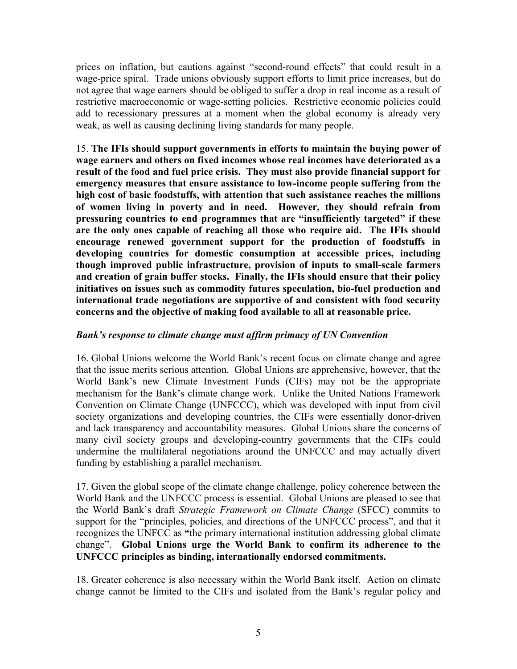prices on inflation, but cautions against "second-round effects" that could result in a wage-price spiral. Trade unions obviously support efforts to limit price increases, but do not agree that wage earners should be obliged to suffer a drop in real income as a result of restrictive macroeconomic or wage-setting policies. Restrictive economic policies could add to recessionary pressures at a moment when the global economy is already very weak, as well as causing declining living standards for many people.

15. **The IFIs should support governments in efforts to maintain the buying power of wage earners and others on fixed incomes whose real incomes have deteriorated as a result of the food and fuel price crisis. They must also provide financial support for emergency measures that ensure assistance to low-income people suffering from the high cost of basic foodstuffs, with attention that such assistance reaches the millions of women living in poverty and in need. However, they should refrain from pressuring countries to end programmes that are "insufficiently targeted" if these are the only ones capable of reaching all those who require aid. The IFIs should encourage renewed government support for the production of foodstuffs in developing countries for domestic consumption at accessible prices, including though improved public infrastructure, provision of inputs to small-scale farmers and creation of grain buffer stocks. Finally, the IFIs should ensure that their policy initiatives on issues such as commodity futures speculation, bio-fuel production and international trade negotiations are supportive of and consistent with food security concerns and the objective of making food available to all at reasonable price.**

#### *Bank's response to climate change must affirm primacy of UN Convention*

16. Global Unions welcome the World Bank's recent focus on climate change and agree that the issue merits serious attention. Global Unions are apprehensive, however, that the World Bank's new Climate Investment Funds (CIFs) may not be the appropriate mechanism for the Bank's climate change work. Unlike the United Nations Framework Convention on Climate Change (UNFCCC), which was developed with input from civil society organizations and developing countries, the CIFs were essentially donor-driven and lack transparency and accountability measures. Global Unions share the concerns of many civil society groups and developing-country governments that the CIFs could undermine the multilateral negotiations around the UNFCCC and may actually divert funding by establishing a parallel mechanism.

17. Given the global scope of the climate change challenge, policy coherence between the World Bank and the UNFCCC process is essential. Global Unions are pleased to see that the World Bank's draft *Strategic Framework on Climate Change* (SFCC) commits to support for the "principles, policies, and directions of the UNFCCC process", and that it recognizes the UNFCC as **"**the primary international institution addressing global climate change". **Global Unions urge the World Bank to confirm its adherence to the UNFCCC principles as binding, internationally endorsed commitments.** 

18. Greater coherence is also necessary within the World Bank itself. Action on climate change cannot be limited to the CIFs and isolated from the Bank's regular policy and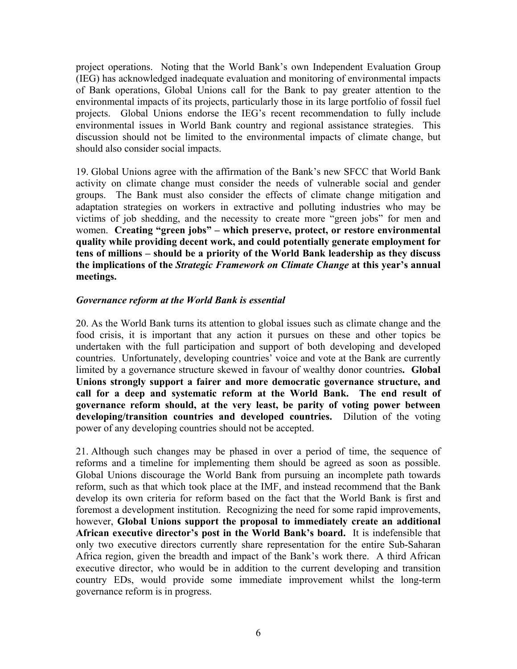project operations. Noting that the World Bank's own Independent Evaluation Group (IEG) has acknowledged inadequate evaluation and monitoring of environmental impacts of Bank operations, Global Unions call for the Bank to pay greater attention to the environmental impacts of its projects, particularly those in its large portfolio of fossil fuel projects. Global Unions endorse the IEG's recent recommendation to fully include environmental issues in World Bank country and regional assistance strategies. This discussion should not be limited to the environmental impacts of climate change, but should also consider social impacts.

19. Global Unions agree with the affirmation of the Bank's new SFCC that World Bank activity on climate change must consider the needs of vulnerable social and gender groups. The Bank must also consider the effects of climate change mitigation and adaptation strategies on workers in extractive and polluting industries who may be victims of job shedding, and the necessity to create more "green jobs" for men and women. **Creating "green jobs" – which preserve, protect, or restore environmental quality while providing decent work, and could potentially generate employment for tens of millions – should be a priority of the World Bank leadership as they discuss the implications of the** *Strategic Framework on Climate Change* **at this year's annual meetings.**

#### *Governance reform at the World Bank is essential*

20. As the World Bank turns its attention to global issues such as climate change and the food crisis, it is important that any action it pursues on these and other topics be undertaken with the full participation and support of both developing and developed countries. Unfortunately, developing countries' voice and vote at the Bank are currently limited by a governance structure skewed in favour of wealthy donor countries**. Global Unions strongly support a fairer and more democratic governance structure, and call for a deep and systematic reform at the World Bank. The end result of governance reform should, at the very least, be parity of voting power between developing/transition countries and developed countries.** Dilution of the voting power of any developing countries should not be accepted.

21. Although such changes may be phased in over a period of time, the sequence of reforms and a timeline for implementing them should be agreed as soon as possible. Global Unions discourage the World Bank from pursuing an incomplete path towards reform, such as that which took place at the IMF, and instead recommend that the Bank develop its own criteria for reform based on the fact that the World Bank is first and foremost a development institution. Recognizing the need for some rapid improvements, however, **Global Unions support the proposal to immediately create an additional African executive director's post in the World Bank's board.** It is indefensible that only two executive directors currently share representation for the entire Sub-Saharan Africa region, given the breadth and impact of the Bank's work there. A third African executive director, who would be in addition to the current developing and transition country EDs, would provide some immediate improvement whilst the long-term governance reform is in progress.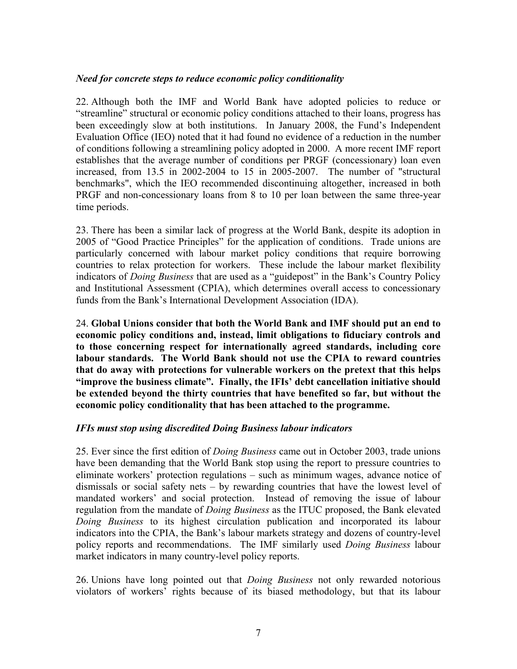#### *Need for concrete steps to reduce economic policy conditionality*

22. Although both the IMF and World Bank have adopted policies to reduce or "streamline" structural or economic policy conditions attached to their loans, progress has been exceedingly slow at both institutions. In January 2008, the Fund's Independent Evaluation Office (IEO) noted that it had found no evidence of a reduction in the number of conditions following a streamlining policy adopted in 2000. A more recent IMF report establishes that the average number of conditions per PRGF (concessionary) loan even increased, from 13.5 in 2002-2004 to 15 in 2005-2007. The number of "structural benchmarks", which the IEO recommended discontinuing altogether, increased in both PRGF and non-concessionary loans from 8 to 10 per loan between the same three-year time periods.

23. There has been a similar lack of progress at the World Bank, despite its adoption in 2005 of "Good Practice Principles" for the application of conditions. Trade unions are particularly concerned with labour market policy conditions that require borrowing countries to relax protection for workers. These include the labour market flexibility indicators of *Doing Business* that are used as a "guidepost" in the Bank's Country Policy and Institutional Assessment (CPIA), which determines overall access to concessionary funds from the Bank's International Development Association (IDA).

24. **Global Unions consider that both the World Bank and IMF should put an end to economic policy conditions and, instead, limit obligations to fiduciary controls and to those concerning respect for internationally agreed standards, including core labour standards. The World Bank should not use the CPIA to reward countries that do away with protections for vulnerable workers on the pretext that this helps "improve the business climate". Finally, the IFIs' debt cancellation initiative should be extended beyond the thirty countries that have benefited so far, but without the economic policy conditionality that has been attached to the programme.**

# *IFIs must stop using discredited Doing Business labour indicators*

25. Ever since the first edition of *Doing Business* came out in October 2003, trade unions have been demanding that the World Bank stop using the report to pressure countries to eliminate workers' protection regulations – such as minimum wages, advance notice of dismissals or social safety nets – by rewarding countries that have the lowest level of mandated workers' and social protection. Instead of removing the issue of labour regulation from the mandate of *Doing Business* as the ITUC proposed, the Bank elevated *Doing Business* to its highest circulation publication and incorporated its labour indicators into the CPIA, the Bank's labour markets strategy and dozens of country-level policy reports and recommendations. The IMF similarly used *Doing Business* labour market indicators in many country-level policy reports.

26. Unions have long pointed out that *Doing Business* not only rewarded notorious violators of workers' rights because of its biased methodology, but that its labour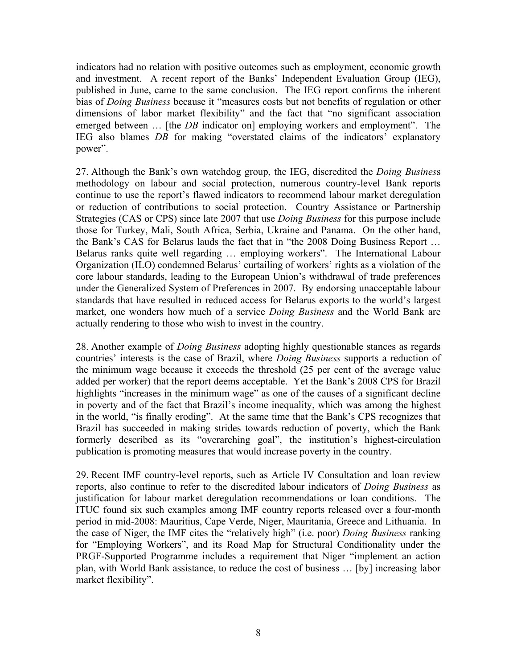indicators had no relation with positive outcomes such as employment, economic growth and investment. A recent report of the Banks' Independent Evaluation Group (IEG), published in June, came to the same conclusion. The IEG report confirms the inherent bias of *Doing Business* because it "measures costs but not benefits of regulation or other dimensions of labor market flexibility" and the fact that "no significant association emerged between ... [the *DB* indicator on] employing workers and employment". The IEG also blames *DB* for making "overstated claims of the indicators' explanatory power".

27. Although the Bank's own watchdog group, the IEG, discredited the *Doing Busines*s methodology on labour and social protection, numerous country-level Bank reports continue to use the report's flawed indicators to recommend labour market deregulation or reduction of contributions to social protection. Country Assistance or Partnership Strategies (CAS or CPS) since late 2007 that use *Doing Business* for this purpose include those for Turkey, Mali, South Africa, Serbia, Ukraine and Panama. On the other hand, the Bank's CAS for Belarus lauds the fact that in "the 2008 Doing Business Report … Belarus ranks quite well regarding … employing workers". The International Labour Organization (ILO) condemned Belarus' curtailing of workers' rights as a violation of the core labour standards, leading to the European Union's withdrawal of trade preferences under the Generalized System of Preferences in 2007. By endorsing unacceptable labour standards that have resulted in reduced access for Belarus exports to the world's largest market, one wonders how much of a service *Doing Business* and the World Bank are actually rendering to those who wish to invest in the country.

28. Another example of *Doing Business* adopting highly questionable stances as regards countries' interests is the case of Brazil, where *Doing Business* supports a reduction of the minimum wage because it exceeds the threshold (25 per cent of the average value added per worker) that the report deems acceptable. Yet the Bank's 2008 CPS for Brazil highlights "increases in the minimum wage" as one of the causes of a significant decline in poverty and of the fact that Brazil's income inequality, which was among the highest in the world, "is finally eroding". At the same time that the Bank's CPS recognizes that Brazil has succeeded in making strides towards reduction of poverty, which the Bank formerly described as its "overarching goal", the institution's highest-circulation publication is promoting measures that would increase poverty in the country.

29. Recent IMF country-level reports, such as Article IV Consultation and loan review reports, also continue to refer to the discredited labour indicators of *Doing Business* as justification for labour market deregulation recommendations or loan conditions. The ITUC found six such examples among IMF country reports released over a four-month period in mid-2008: Mauritius, Cape Verde, Niger, Mauritania, Greece and Lithuania. In the case of Niger, the IMF cites the "relatively high" (i.e. poor) *Doing Business* ranking for "Employing Workers", and its Road Map for Structural Conditionality under the PRGF-Supported Programme includes a requirement that Niger "implement an action plan, with World Bank assistance, to reduce the cost of business … [by] increasing labor market flexibility".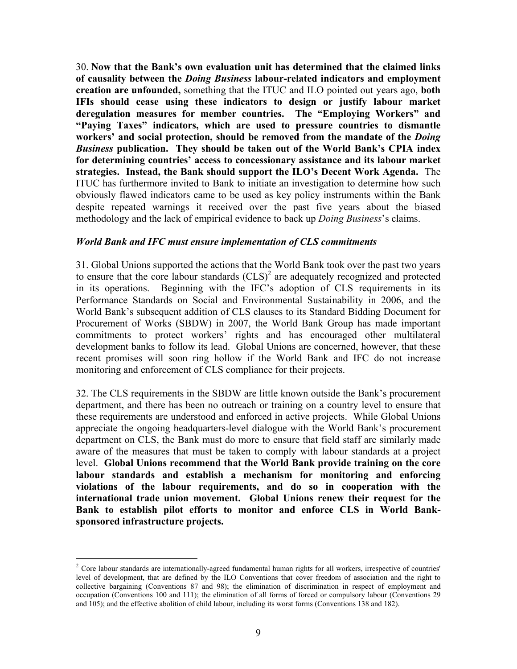30. **Now that the Bank's own evaluation unit has determined that the claimed links of causality between the** *Doing Business* **labour-related indicators and employment creation are unfounded,** something that the ITUC and ILO pointed out years ago, **both IFIs should cease using these indicators to design or justify labour market deregulation measures for member countries. The "Employing Workers" and "Paying Taxes" indicators, which are used to pressure countries to dismantle workers' and social protection, should be removed from the mandate of the** *Doing Business* **publication. They should be taken out of the World Bank's CPIA index for determining countries' access to concessionary assistance and its labour market strategies. Instead, the Bank should support the ILO's Decent Work Agenda.** The ITUC has furthermore invited to Bank to initiate an investigation to determine how such obviously flawed indicators came to be used as key policy instruments within the Bank despite repeated warnings it received over the past five years about the biased methodology and the lack of empirical evidence to back up *Doing Business*'s claims.

#### *World Bank and IFC must ensure implementation of CLS commitments*

31. Global Unions supported the actions that the World Bank took over the past two years to ensure that the core labour standards  $(CLS)^2$  are adequately recognized and protected in its operations. Beginning with the IFC's adoption of CLS requirements in its Performance Standards on Social and Environmental Sustainability in 2006, and the World Bank's subsequent addition of CLS clauses to its Standard Bidding Document for Procurement of Works (SBDW) in 2007, the World Bank Group has made important commitments to protect workers' rights and has encouraged other multilateral development banks to follow its lead. Global Unions are concerned, however, that these recent promises will soon ring hollow if the World Bank and IFC do not increase monitoring and enforcement of CLS compliance for their projects.

32. The CLS requirements in the SBDW are little known outside the Bank's procurement department, and there has been no outreach or training on a country level to ensure that these requirements are understood and enforced in active projects. While Global Unions appreciate the ongoing headquarters-level dialogue with the World Bank's procurement department on CLS, the Bank must do more to ensure that field staff are similarly made aware of the measures that must be taken to comply with labour standards at a project level. **Global Unions recommend that the World Bank provide training on the core labour standards and establish a mechanism for monitoring and enforcing violations of the labour requirements, and do so in cooperation with the international trade union movement. Global Unions renew their request for the Bank to establish pilot efforts to monitor and enforce CLS in World Banksponsored infrastructure projects.**

 $\overline{a}$ 

<sup>&</sup>lt;sup>2</sup> Core labour standards are internationally-agreed fundamental human rights for all workers, irrespective of countries' level of development, that are defined by the ILO Conventions that cover freedom of association and the right to collective bargaining (Conventions 87 and 98); the elimination of discrimination in respect of employment and occupation (Conventions 100 and 111); the elimination of all forms of forced or compulsory labour (Conventions 29 and 105); and the effective abolition of child labour, including its worst forms (Conventions 138 and 182).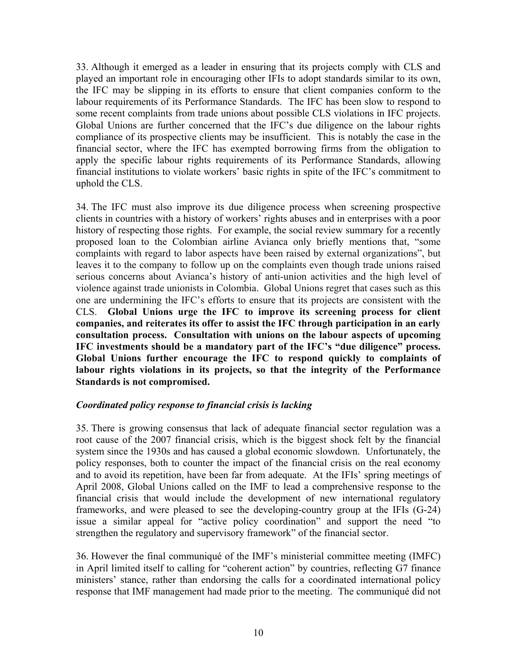33. Although it emerged as a leader in ensuring that its projects comply with CLS and played an important role in encouraging other IFIs to adopt standards similar to its own, the IFC may be slipping in its efforts to ensure that client companies conform to the labour requirements of its Performance Standards. The IFC has been slow to respond to some recent complaints from trade unions about possible CLS violations in IFC projects. Global Unions are further concerned that the IFC's due diligence on the labour rights compliance of its prospective clients may be insufficient. This is notably the case in the financial sector, where the IFC has exempted borrowing firms from the obligation to apply the specific labour rights requirements of its Performance Standards, allowing financial institutions to violate workers' basic rights in spite of the IFC's commitment to uphold the CLS.

34. The IFC must also improve its due diligence process when screening prospective clients in countries with a history of workers' rights abuses and in enterprises with a poor history of respecting those rights. For example, the social review summary for a recently proposed loan to the Colombian airline Avianca only briefly mentions that, "some complaints with regard to labor aspects have been raised by external organizations", but leaves it to the company to follow up on the complaints even though trade unions raised serious concerns about Avianca's history of anti-union activities and the high level of violence against trade unionists in Colombia. Global Unions regret that cases such as this one are undermining the IFC's efforts to ensure that its projects are consistent with the CLS. **Global Unions urge the IFC to improve its screening process for client companies, and reiterates its offer to assist the IFC through participation in an early consultation process. Consultation with unions on the labour aspects of upcoming IFC investments should be a mandatory part of the IFC's "due diligence" process. Global Unions further encourage the IFC to respond quickly to complaints of labour rights violations in its projects, so that the integrity of the Performance Standards is not compromised.**

# *Coordinated policy response to financial crisis is lacking*

35. There is growing consensus that lack of adequate financial sector regulation was a root cause of the 2007 financial crisis, which is the biggest shock felt by the financial system since the 1930s and has caused a global economic slowdown. Unfortunately, the policy responses, both to counter the impact of the financial crisis on the real economy and to avoid its repetition, have been far from adequate. At the IFIs' spring meetings of April 2008, Global Unions called on the IMF to lead a comprehensive response to the financial crisis that would include the development of new international regulatory frameworks, and were pleased to see the developing-country group at the IFIs (G-24) issue a similar appeal for "active policy coordination" and support the need "to strengthen the regulatory and supervisory framework" of the financial sector.

36. However the final communiqué of the IMF's ministerial committee meeting (IMFC) in April limited itself to calling for "coherent action" by countries, reflecting G7 finance ministers' stance, rather than endorsing the calls for a coordinated international policy response that IMF management had made prior to the meeting. The communiqué did not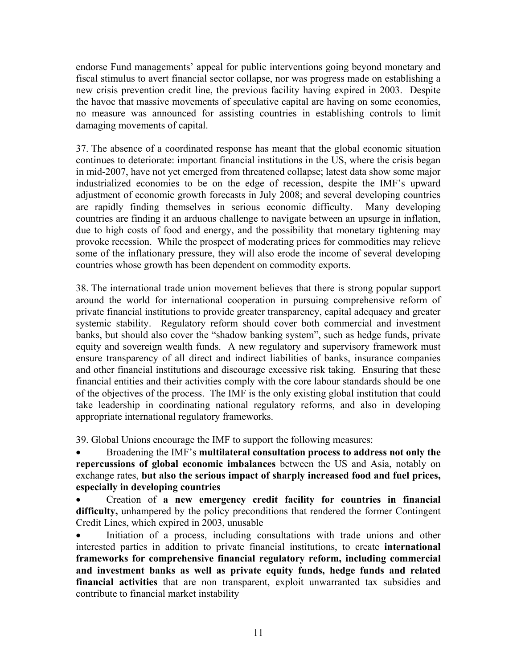endorse Fund managements' appeal for public interventions going beyond monetary and fiscal stimulus to avert financial sector collapse, nor was progress made on establishing a new crisis prevention credit line, the previous facility having expired in 2003. Despite the havoc that massive movements of speculative capital are having on some economies, no measure was announced for assisting countries in establishing controls to limit damaging movements of capital.

37. The absence of a coordinated response has meant that the global economic situation continues to deteriorate: important financial institutions in the US, where the crisis began in mid-2007, have not yet emerged from threatened collapse; latest data show some major industrialized economies to be on the edge of recession, despite the IMF's upward adjustment of economic growth forecasts in July 2008; and several developing countries are rapidly finding themselves in serious economic difficulty. Many developing countries are finding it an arduous challenge to navigate between an upsurge in inflation, due to high costs of food and energy, and the possibility that monetary tightening may provoke recession. While the prospect of moderating prices for commodities may relieve some of the inflationary pressure, they will also erode the income of several developing countries whose growth has been dependent on commodity exports.

38. The international trade union movement believes that there is strong popular support around the world for international cooperation in pursuing comprehensive reform of private financial institutions to provide greater transparency, capital adequacy and greater systemic stability. Regulatory reform should cover both commercial and investment banks, but should also cover the "shadow banking system", such as hedge funds, private equity and sovereign wealth funds. A new regulatory and supervisory framework must ensure transparency of all direct and indirect liabilities of banks, insurance companies and other financial institutions and discourage excessive risk taking. Ensuring that these financial entities and their activities comply with the core labour standards should be one of the objectives of the process. The IMF is the only existing global institution that could take leadership in coordinating national regulatory reforms, and also in developing appropriate international regulatory frameworks.

39. Global Unions encourage the IMF to support the following measures:

• Broadening the IMF's **multilateral consultation process to address not only the repercussions of global economic imbalances** between the US and Asia, notably on exchange rates, **but also the serious impact of sharply increased food and fuel prices, especially in developing countries**

• Creation of **a new emergency credit facility for countries in financial difficulty,** unhampered by the policy preconditions that rendered the former Contingent Credit Lines, which expired in 2003, unusable

• Initiation of a process, including consultations with trade unions and other interested parties in addition to private financial institutions, to create **international frameworks for comprehensive financial regulatory reform, including commercial and investment banks as well as private equity funds, hedge funds and related financial activities** that are non transparent, exploit unwarranted tax subsidies and contribute to financial market instability